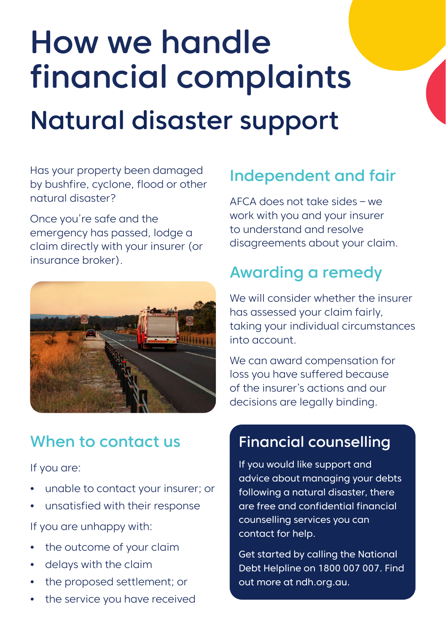# How we handle financial complaints Natural disaster support

Has your property been damaged by bushfire, cyclone, flood or other natural disaster?

Once you're safe and the emergency has passed, lodge a claim directly with your insurer (or insurance broker).



#### When to contact us

If you are:

- **•** unable to contact your insurer; or
- **•** unsatisfied with their response

If you are unhappy with:

- **•** the outcome of your claim
- **•** delays with the claim
- **•** the proposed settlement; or
- **•** the service you have received

## Independent and fair

AFCA does not take sides – we work with you and your insurer to understand and resolve disagreements about your claim.

## Awarding a remedy

We will consider whether the insurer has assessed your claim fairly, taking your individual circumstances into account.

We can award compensation for loss you have suffered because of the insurer's actions and our decisions are legally binding.

#### Financial counselling

If you would like support and advice about managing your debts following a natural disaster, there are free and confidential financial counselling services you can contact for help.

**Get started by calling the National** Debt Helpline on 1800 007 007. Find out more at ndh.org.au.